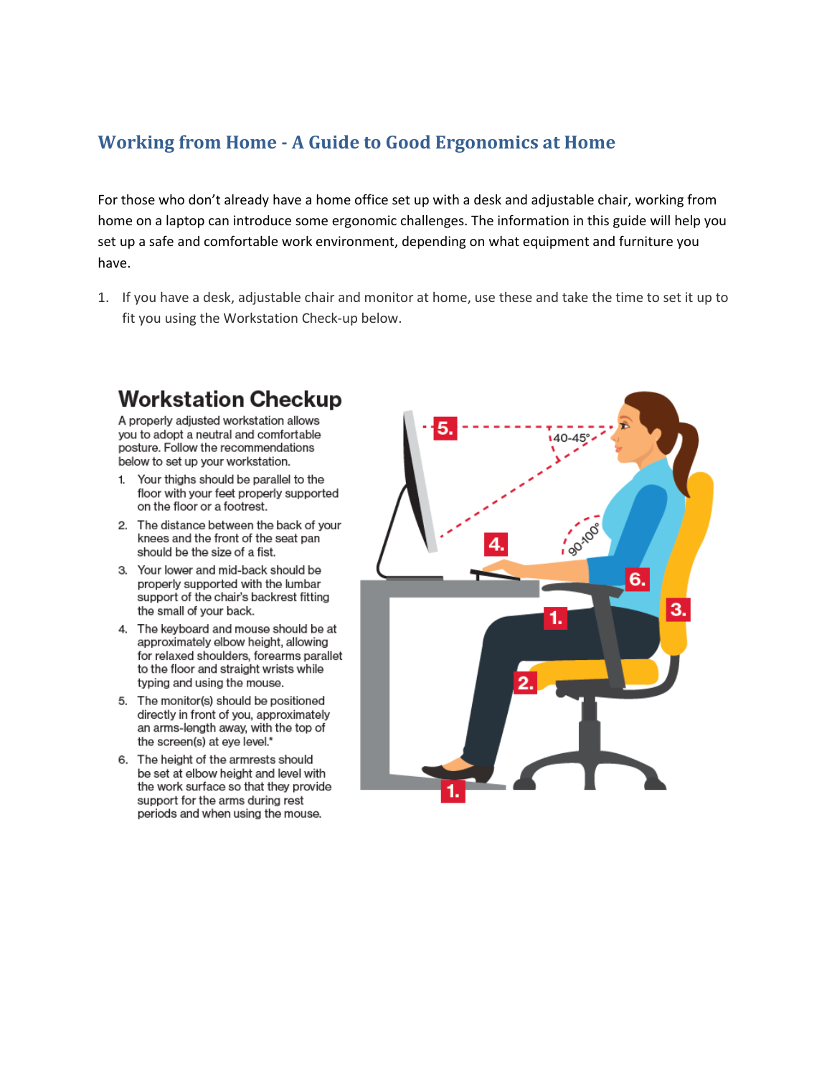## **Working from Home - A Guide to Good Ergonomics at Home**

For those who don't already have a home office set up with a desk and adjustable chair, working from home on a laptop can introduce some ergonomic challenges. The information in this guide will help you set up a safe and comfortable work environment, depending on what equipment and furniture you have.

1. If you have a desk, adjustable chair and monitor at home, use these and take the time to set it up to fit you using the Workstation Check-up below.

## **Workstation Checkup**

A properly adjusted workstation allows you to adopt a neutral and comfortable posture. Follow the recommendations below to set up your workstation.

- 1. Your thighs should be parallel to the floor with your feet properly supported on the floor or a footrest.
- 2. The distance between the back of your knees and the front of the seat pan should be the size of a fist.
- 3. Your lower and mid-back should be properly supported with the lumbar support of the chair's backrest fitting the small of your back.
- 4. The keyboard and mouse should be at approximately elbow height, allowing for relaxed shoulders, forearms parallet to the floor and straight wrists while typing and using the mouse.
- 5. The monitor(s) should be positioned directly in front of you, approximately an arms-length away, with the top of the screen(s) at eye level.\*
- 6. The height of the armrests should be set at elbow height and level with the work surface so that they provide support for the arms during rest periods and when using the mouse.